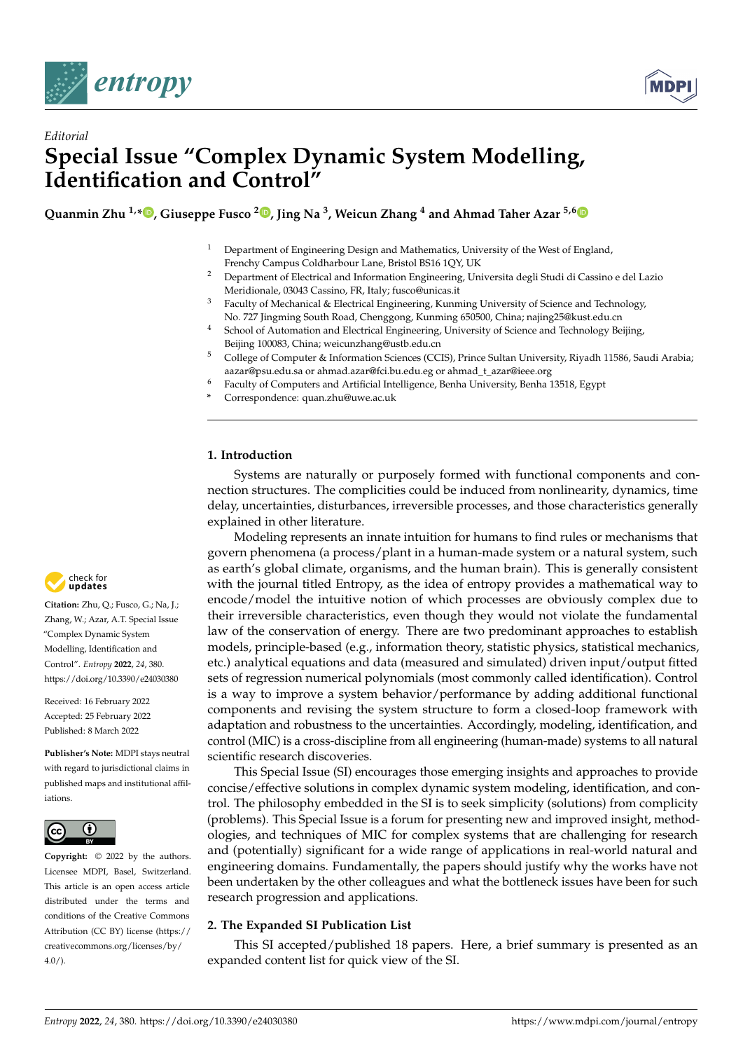



# *Editorial* **Special Issue "Complex Dynamic System Modelling, Identification and Control"**

**Quanmin Zhu 1,[\\*](https://orcid.org/0000-0001-8173-1179) , Giuseppe Fusco <sup>2</sup> [,](https://orcid.org/0000-0002-5104-1342) Jing Na <sup>3</sup> , Weicun Zhang <sup>4</sup> and Ahmad Taher Azar 5,[6](https://orcid.org/0000-0002-7869-6373)**

- <sup>1</sup> Department of Engineering Design and Mathematics, University of the West of England, Frenchy Campus Coldharbour Lane, Bristol BS16 1QY, UK
- <sup>2</sup> Department of Electrical and Information Engineering, Universita degli Studi di Cassino e del Lazio Meridionale, 03043 Cassino, FR, Italy; fusco@unicas.it
- <sup>3</sup> Faculty of Mechanical & Electrical Engineering, Kunming University of Science and Technology, No. 727 Jingming South Road, Chenggong, Kunming 650500, China; najing25@kust.edu.cn
- <sup>4</sup> School of Automation and Electrical Engineering, University of Science and Technology Beijing, Beijing 100083, China; weicunzhang@ustb.edu.cn
- <sup>5</sup> College of Computer & Information Sciences (CCIS), Prince Sultan University, Riyadh 11586, Saudi Arabia; aazar@psu.edu.sa or ahmad.azar@fci.bu.edu.eg or ahmad\_t\_azar@ieee.org
- <sup>6</sup> Faculty of Computers and Artificial Intelligence, Benha University, Benha 13518, Egypt
- **\*** Correspondence: quan.zhu@uwe.ac.uk

## **1. Introduction**

Systems are naturally or purposely formed with functional components and connection structures. The complicities could be induced from nonlinearity, dynamics, time delay, uncertainties, disturbances, irreversible processes, and those characteristics generally explained in other literature.

Modeling represents an innate intuition for humans to find rules or mechanisms that govern phenomena (a process/plant in a human-made system or a natural system, such as earth's global climate, organisms, and the human brain). This is generally consistent with the journal titled Entropy, as the idea of entropy provides a mathematical way to encode/model the intuitive notion of which processes are obviously complex due to their irreversible characteristics, even though they would not violate the fundamental law of the conservation of energy. There are two predominant approaches to establish models, principle-based (e.g., information theory, statistic physics, statistical mechanics, etc.) analytical equations and data (measured and simulated) driven input/output fitted sets of regression numerical polynomials (most commonly called identification). Control is a way to improve a system behavior/performance by adding additional functional components and revising the system structure to form a closed-loop framework with adaptation and robustness to the uncertainties. Accordingly, modeling, identification, and control (MIC) is a cross-discipline from all engineering (human-made) systems to all natural scientific research discoveries.

This Special Issue (SI) encourages those emerging insights and approaches to provide concise/effective solutions in complex dynamic system modeling, identification, and control. The philosophy embedded in the SI is to seek simplicity (solutions) from complicity (problems). This Special Issue is a forum for presenting new and improved insight, methodologies, and techniques of MIC for complex systems that are challenging for research and (potentially) significant for a wide range of applications in real-world natural and engineering domains. Fundamentally, the papers should justify why the works have not been undertaken by the other colleagues and what the bottleneck issues have been for such research progression and applications.

## **2. The Expanded SI Publication List**

This SI accepted/published 18 papers. Here, a brief summary is presented as an expanded content list for quick view of the SI.



**Citation:** Zhu, Q.; Fusco, G.; Na, J.; Zhang, W.; Azar, A.T. Special Issue "Complex Dynamic System Modelling, Identification and Control". *Entropy* **2022**, *24*, 380. <https://doi.org/10.3390/e24030380>

Received: 16 February 2022 Accepted: 25 February 2022 Published: 8 March 2022

**Publisher's Note:** MDPI stays neutral with regard to jurisdictional claims in published maps and institutional affiliations.



**Copyright:** © 2022 by the authors. Licensee MDPI, Basel, Switzerland. This article is an open access article distributed under the terms and conditions of the Creative Commons Attribution (CC BY) license [\(https://](https://creativecommons.org/licenses/by/4.0/) [creativecommons.org/licenses/by/](https://creativecommons.org/licenses/by/4.0/)  $4.0/$ ).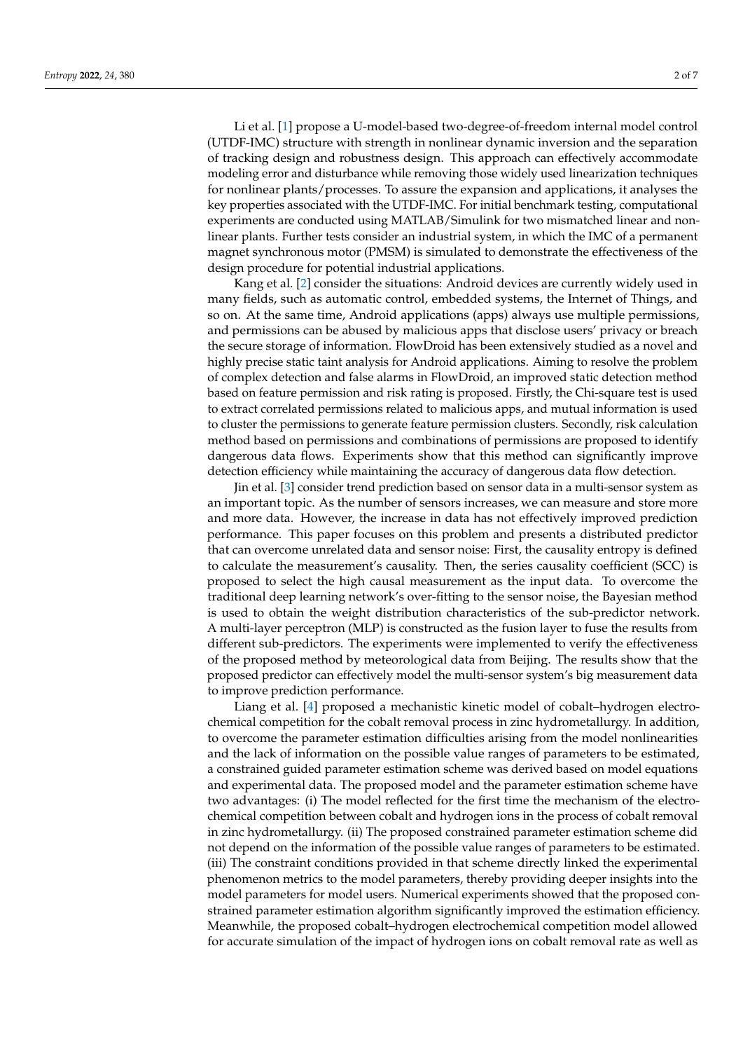Li et al. [\[1\]](#page-5-0) propose a U-model-based two-degree-of-freedom internal model control (UTDF-IMC) structure with strength in nonlinear dynamic inversion and the separation of tracking design and robustness design. This approach can effectively accommodate modeling error and disturbance while removing those widely used linearization techniques for nonlinear plants/processes. To assure the expansion and applications, it analyses the key properties associated with the UTDF-IMC. For initial benchmark testing, computational experiments are conducted using MATLAB/Simulink for two mismatched linear and nonlinear plants. Further tests consider an industrial system, in which the IMC of a permanent magnet synchronous motor (PMSM) is simulated to demonstrate the effectiveness of the design procedure for potential industrial applications.

Kang et al. [\[2\]](#page-6-0) consider the situations: Android devices are currently widely used in many fields, such as automatic control, embedded systems, the Internet of Things, and so on. At the same time, Android applications (apps) always use multiple permissions, and permissions can be abused by malicious apps that disclose users' privacy or breach the secure storage of information. FlowDroid has been extensively studied as a novel and highly precise static taint analysis for Android applications. Aiming to resolve the problem of complex detection and false alarms in FlowDroid, an improved static detection method based on feature permission and risk rating is proposed. Firstly, the Chi-square test is used to extract correlated permissions related to malicious apps, and mutual information is used to cluster the permissions to generate feature permission clusters. Secondly, risk calculation method based on permissions and combinations of permissions are proposed to identify dangerous data flows. Experiments show that this method can significantly improve detection efficiency while maintaining the accuracy of dangerous data flow detection.

Jin et al. [\[3\]](#page-6-1) consider trend prediction based on sensor data in a multi-sensor system as an important topic. As the number of sensors increases, we can measure and store more and more data. However, the increase in data has not effectively improved prediction performance. This paper focuses on this problem and presents a distributed predictor that can overcome unrelated data and sensor noise: First, the causality entropy is defined to calculate the measurement's causality. Then, the series causality coefficient (SCC) is proposed to select the high causal measurement as the input data. To overcome the traditional deep learning network's over-fitting to the sensor noise, the Bayesian method is used to obtain the weight distribution characteristics of the sub-predictor network. A multi-layer perceptron (MLP) is constructed as the fusion layer to fuse the results from different sub-predictors. The experiments were implemented to verify the effectiveness of the proposed method by meteorological data from Beijing. The results show that the proposed predictor can effectively model the multi-sensor system's big measurement data to improve prediction performance.

Liang et al. [\[4\]](#page-6-2) proposed a mechanistic kinetic model of cobalt–hydrogen electrochemical competition for the cobalt removal process in zinc hydrometallurgy. In addition, to overcome the parameter estimation difficulties arising from the model nonlinearities and the lack of information on the possible value ranges of parameters to be estimated, a constrained guided parameter estimation scheme was derived based on model equations and experimental data. The proposed model and the parameter estimation scheme have two advantages: (i) The model reflected for the first time the mechanism of the electrochemical competition between cobalt and hydrogen ions in the process of cobalt removal in zinc hydrometallurgy. (ii) The proposed constrained parameter estimation scheme did not depend on the information of the possible value ranges of parameters to be estimated. (iii) The constraint conditions provided in that scheme directly linked the experimental phenomenon metrics to the model parameters, thereby providing deeper insights into the model parameters for model users. Numerical experiments showed that the proposed constrained parameter estimation algorithm significantly improved the estimation efficiency. Meanwhile, the proposed cobalt–hydrogen electrochemical competition model allowed for accurate simulation of the impact of hydrogen ions on cobalt removal rate as well as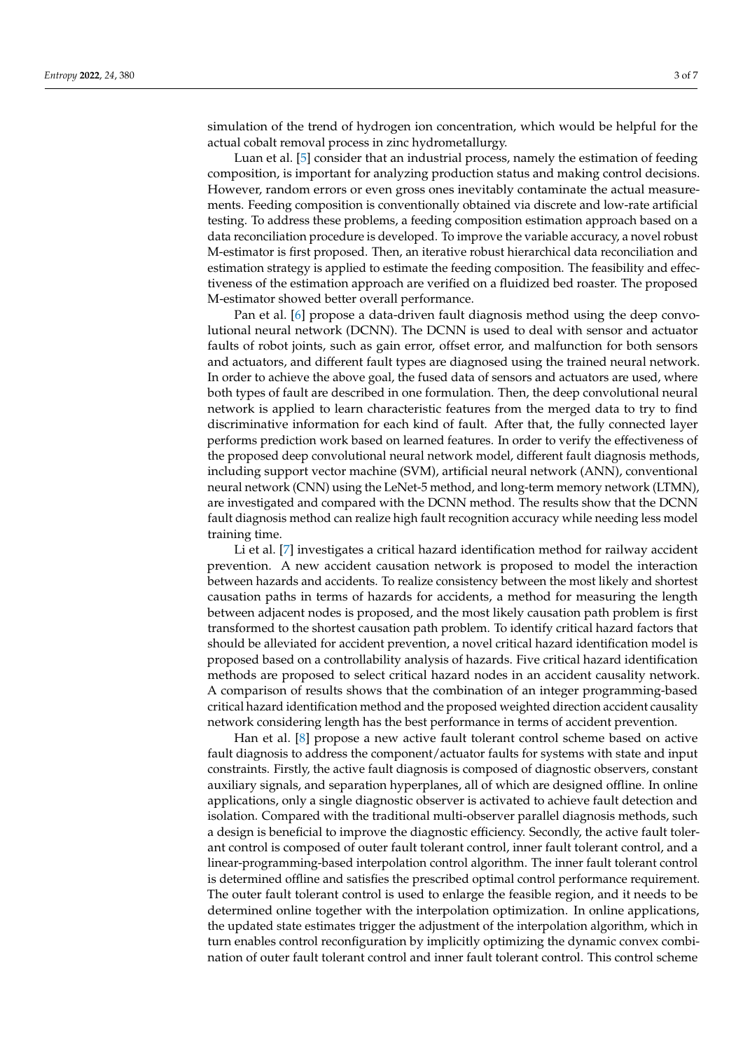simulation of the trend of hydrogen ion concentration, which would be helpful for the actual cobalt removal process in zinc hydrometallurgy.

Luan et al. [\[5\]](#page-6-3) consider that an industrial process, namely the estimation of feeding composition, is important for analyzing production status and making control decisions. However, random errors or even gross ones inevitably contaminate the actual measurements. Feeding composition is conventionally obtained via discrete and low-rate artificial testing. To address these problems, a feeding composition estimation approach based on a data reconciliation procedure is developed. To improve the variable accuracy, a novel robust M-estimator is first proposed. Then, an iterative robust hierarchical data reconciliation and estimation strategy is applied to estimate the feeding composition. The feasibility and effectiveness of the estimation approach are verified on a fluidized bed roaster. The proposed M-estimator showed better overall performance.

Pan et al. [\[6\]](#page-6-4) propose a data-driven fault diagnosis method using the deep convolutional neural network (DCNN). The DCNN is used to deal with sensor and actuator faults of robot joints, such as gain error, offset error, and malfunction for both sensors and actuators, and different fault types are diagnosed using the trained neural network. In order to achieve the above goal, the fused data of sensors and actuators are used, where both types of fault are described in one formulation. Then, the deep convolutional neural network is applied to learn characteristic features from the merged data to try to find discriminative information for each kind of fault. After that, the fully connected layer performs prediction work based on learned features. In order to verify the effectiveness of the proposed deep convolutional neural network model, different fault diagnosis methods, including support vector machine (SVM), artificial neural network (ANN), conventional neural network (CNN) using the LeNet-5 method, and long-term memory network (LTMN), are investigated and compared with the DCNN method. The results show that the DCNN fault diagnosis method can realize high fault recognition accuracy while needing less model training time.

Li et al. [\[7\]](#page-6-5) investigates a critical hazard identification method for railway accident prevention. A new accident causation network is proposed to model the interaction between hazards and accidents. To realize consistency between the most likely and shortest causation paths in terms of hazards for accidents, a method for measuring the length between adjacent nodes is proposed, and the most likely causation path problem is first transformed to the shortest causation path problem. To identify critical hazard factors that should be alleviated for accident prevention, a novel critical hazard identification model is proposed based on a controllability analysis of hazards. Five critical hazard identification methods are proposed to select critical hazard nodes in an accident causality network. A comparison of results shows that the combination of an integer programming-based critical hazard identification method and the proposed weighted direction accident causality network considering length has the best performance in terms of accident prevention.

Han et al. [\[8\]](#page-6-6) propose a new active fault tolerant control scheme based on active fault diagnosis to address the component/actuator faults for systems with state and input constraints. Firstly, the active fault diagnosis is composed of diagnostic observers, constant auxiliary signals, and separation hyperplanes, all of which are designed offline. In online applications, only a single diagnostic observer is activated to achieve fault detection and isolation. Compared with the traditional multi-observer parallel diagnosis methods, such a design is beneficial to improve the diagnostic efficiency. Secondly, the active fault tolerant control is composed of outer fault tolerant control, inner fault tolerant control, and a linear-programming-based interpolation control algorithm. The inner fault tolerant control is determined offline and satisfies the prescribed optimal control performance requirement. The outer fault tolerant control is used to enlarge the feasible region, and it needs to be determined online together with the interpolation optimization. In online applications, the updated state estimates trigger the adjustment of the interpolation algorithm, which in turn enables control reconfiguration by implicitly optimizing the dynamic convex combination of outer fault tolerant control and inner fault tolerant control. This control scheme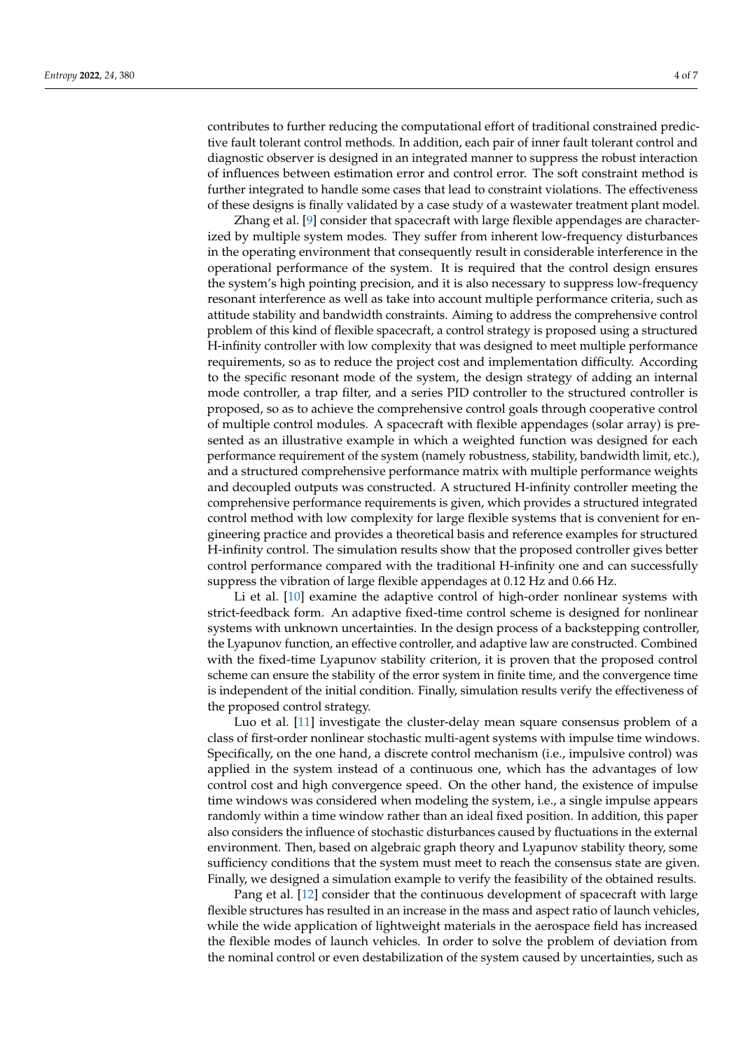contributes to further reducing the computational effort of traditional constrained predictive fault tolerant control methods. In addition, each pair of inner fault tolerant control and diagnostic observer is designed in an integrated manner to suppress the robust interaction of influences between estimation error and control error. The soft constraint method is further integrated to handle some cases that lead to constraint violations. The effectiveness of these designs is finally validated by a case study of a wastewater treatment plant model.

Zhang et al. [\[9\]](#page-6-7) consider that spacecraft with large flexible appendages are characterized by multiple system modes. They suffer from inherent low-frequency disturbances in the operating environment that consequently result in considerable interference in the operational performance of the system. It is required that the control design ensures the system's high pointing precision, and it is also necessary to suppress low-frequency resonant interference as well as take into account multiple performance criteria, such as attitude stability and bandwidth constraints. Aiming to address the comprehensive control problem of this kind of flexible spacecraft, a control strategy is proposed using a structured H-infinity controller with low complexity that was designed to meet multiple performance requirements, so as to reduce the project cost and implementation difficulty. According to the specific resonant mode of the system, the design strategy of adding an internal mode controller, a trap filter, and a series PID controller to the structured controller is proposed, so as to achieve the comprehensive control goals through cooperative control of multiple control modules. A spacecraft with flexible appendages (solar array) is presented as an illustrative example in which a weighted function was designed for each performance requirement of the system (namely robustness, stability, bandwidth limit, etc.), and a structured comprehensive performance matrix with multiple performance weights and decoupled outputs was constructed. A structured H-infinity controller meeting the comprehensive performance requirements is given, which provides a structured integrated control method with low complexity for large flexible systems that is convenient for engineering practice and provides a theoretical basis and reference examples for structured H-infinity control. The simulation results show that the proposed controller gives better control performance compared with the traditional H-infinity one and can successfully suppress the vibration of large flexible appendages at 0.12 Hz and 0.66 Hz.

Li et al. [\[10\]](#page-6-8) examine the adaptive control of high-order nonlinear systems with strict-feedback form. An adaptive fixed-time control scheme is designed for nonlinear systems with unknown uncertainties. In the design process of a backstepping controller, the Lyapunov function, an effective controller, and adaptive law are constructed. Combined with the fixed-time Lyapunov stability criterion, it is proven that the proposed control scheme can ensure the stability of the error system in finite time, and the convergence time is independent of the initial condition. Finally, simulation results verify the effectiveness of the proposed control strategy.

Luo et al. [\[11\]](#page-6-9) investigate the cluster-delay mean square consensus problem of a class of first-order nonlinear stochastic multi-agent systems with impulse time windows. Specifically, on the one hand, a discrete control mechanism (i.e., impulsive control) was applied in the system instead of a continuous one, which has the advantages of low control cost and high convergence speed. On the other hand, the existence of impulse time windows was considered when modeling the system, i.e., a single impulse appears randomly within a time window rather than an ideal fixed position. In addition, this paper also considers the influence of stochastic disturbances caused by fluctuations in the external environment. Then, based on algebraic graph theory and Lyapunov stability theory, some sufficiency conditions that the system must meet to reach the consensus state are given. Finally, we designed a simulation example to verify the feasibility of the obtained results.

Pang et al. [\[12\]](#page-6-10) consider that the continuous development of spacecraft with large flexible structures has resulted in an increase in the mass and aspect ratio of launch vehicles, while the wide application of lightweight materials in the aerospace field has increased the flexible modes of launch vehicles. In order to solve the problem of deviation from the nominal control or even destabilization of the system caused by uncertainties, such as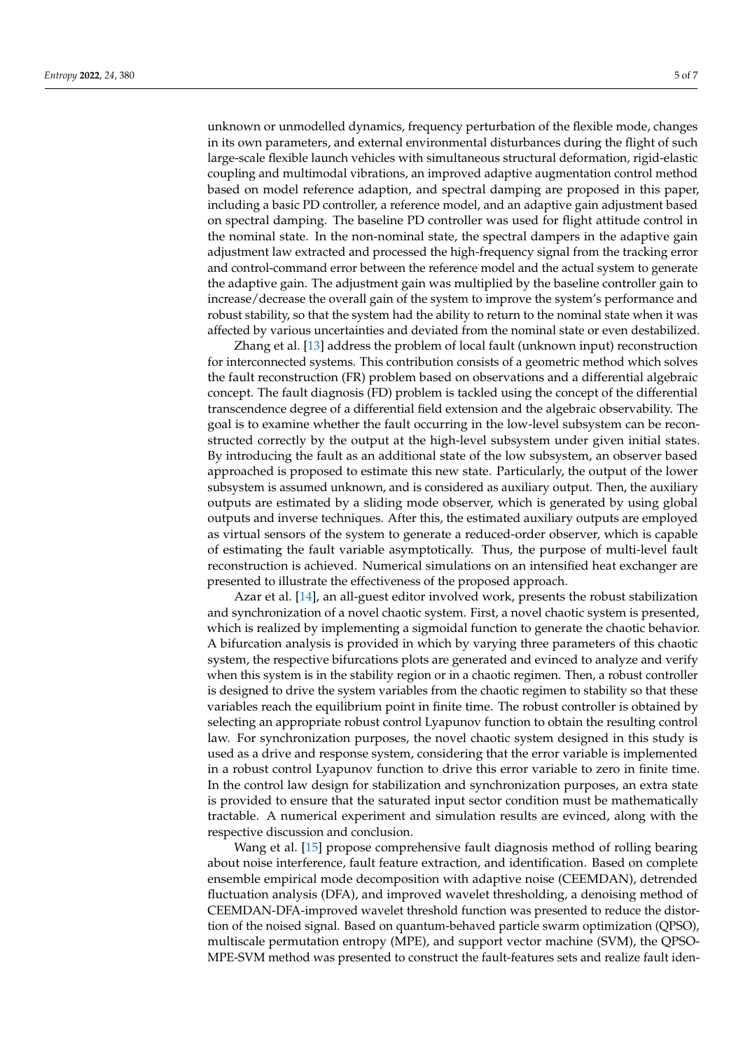unknown or unmodelled dynamics, frequency perturbation of the flexible mode, changes in its own parameters, and external environmental disturbances during the flight of such large-scale flexible launch vehicles with simultaneous structural deformation, rigid-elastic coupling and multimodal vibrations, an improved adaptive augmentation control method based on model reference adaption, and spectral damping are proposed in this paper, including a basic PD controller, a reference model, and an adaptive gain adjustment based on spectral damping. The baseline PD controller was used for flight attitude control in the nominal state. In the non-nominal state, the spectral dampers in the adaptive gain adjustment law extracted and processed the high-frequency signal from the tracking error and control-command error between the reference model and the actual system to generate the adaptive gain. The adjustment gain was multiplied by the baseline controller gain to increase/decrease the overall gain of the system to improve the system's performance and robust stability, so that the system had the ability to return to the nominal state when it was affected by various uncertainties and deviated from the nominal state or even destabilized.

Zhang et al. [\[13\]](#page-6-11) address the problem of local fault (unknown input) reconstruction for interconnected systems. This contribution consists of a geometric method which solves the fault reconstruction (FR) problem based on observations and a differential algebraic concept. The fault diagnosis (FD) problem is tackled using the concept of the differential transcendence degree of a differential field extension and the algebraic observability. The goal is to examine whether the fault occurring in the low-level subsystem can be reconstructed correctly by the output at the high-level subsystem under given initial states. By introducing the fault as an additional state of the low subsystem, an observer based approached is proposed to estimate this new state. Particularly, the output of the lower subsystem is assumed unknown, and is considered as auxiliary output. Then, the auxiliary outputs are estimated by a sliding mode observer, which is generated by using global outputs and inverse techniques. After this, the estimated auxiliary outputs are employed as virtual sensors of the system to generate a reduced-order observer, which is capable of estimating the fault variable asymptotically. Thus, the purpose of multi-level fault reconstruction is achieved. Numerical simulations on an intensified heat exchanger are presented to illustrate the effectiveness of the proposed approach.

Azar et al. [\[14\]](#page-6-12), an all-guest editor involved work, presents the robust stabilization and synchronization of a novel chaotic system. First, a novel chaotic system is presented, which is realized by implementing a sigmoidal function to generate the chaotic behavior. A bifurcation analysis is provided in which by varying three parameters of this chaotic system, the respective bifurcations plots are generated and evinced to analyze and verify when this system is in the stability region or in a chaotic regimen. Then, a robust controller is designed to drive the system variables from the chaotic regimen to stability so that these variables reach the equilibrium point in finite time. The robust controller is obtained by selecting an appropriate robust control Lyapunov function to obtain the resulting control law. For synchronization purposes, the novel chaotic system designed in this study is used as a drive and response system, considering that the error variable is implemented in a robust control Lyapunov function to drive this error variable to zero in finite time. In the control law design for stabilization and synchronization purposes, an extra state is provided to ensure that the saturated input sector condition must be mathematically tractable. A numerical experiment and simulation results are evinced, along with the respective discussion and conclusion.

Wang et al. [\[15\]](#page-6-13) propose comprehensive fault diagnosis method of rolling bearing about noise interference, fault feature extraction, and identification. Based on complete ensemble empirical mode decomposition with adaptive noise (CEEMDAN), detrended fluctuation analysis (DFA), and improved wavelet thresholding, a denoising method of CEEMDAN-DFA-improved wavelet threshold function was presented to reduce the distortion of the noised signal. Based on quantum-behaved particle swarm optimization (QPSO), multiscale permutation entropy (MPE), and support vector machine (SVM), the QPSO-MPE-SVM method was presented to construct the fault-features sets and realize fault iden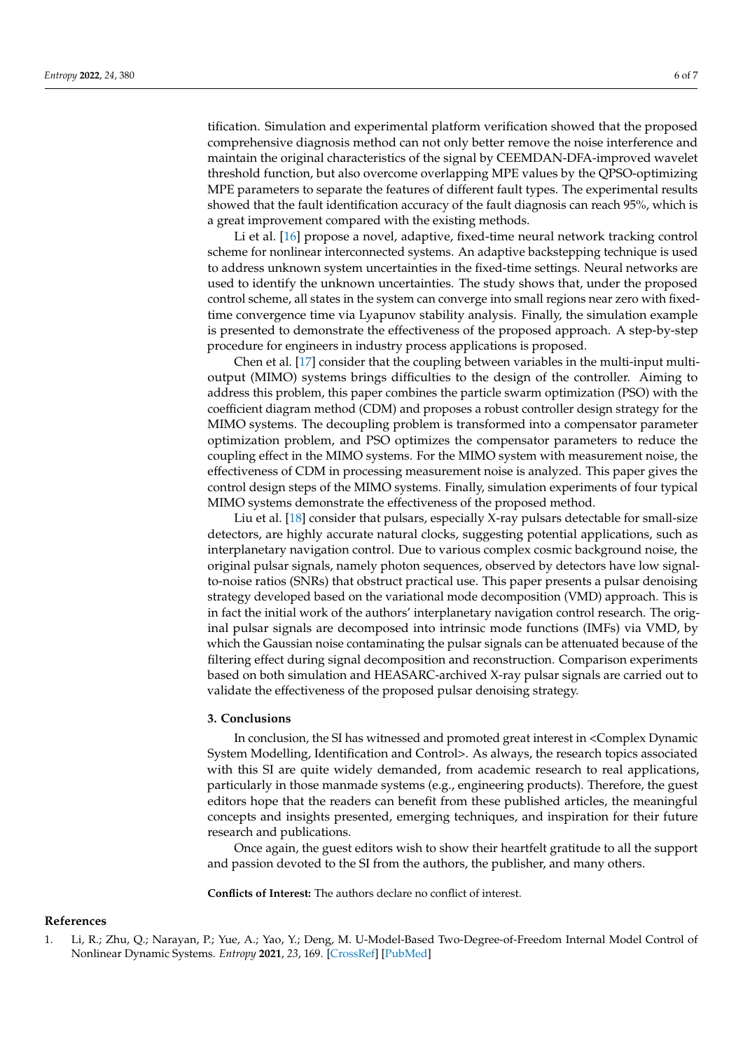tification. Simulation and experimental platform verification showed that the proposed comprehensive diagnosis method can not only better remove the noise interference and maintain the original characteristics of the signal by CEEMDAN-DFA-improved wavelet threshold function, but also overcome overlapping MPE values by the QPSO-optimizing MPE parameters to separate the features of different fault types. The experimental results showed that the fault identification accuracy of the fault diagnosis can reach 95%, which is a great improvement compared with the existing methods.

Li et al. [\[16\]](#page-6-14) propose a novel, adaptive, fixed-time neural network tracking control scheme for nonlinear interconnected systems. An adaptive backstepping technique is used to address unknown system uncertainties in the fixed-time settings. Neural networks are used to identify the unknown uncertainties. The study shows that, under the proposed control scheme, all states in the system can converge into small regions near zero with fixedtime convergence time via Lyapunov stability analysis. Finally, the simulation example is presented to demonstrate the effectiveness of the proposed approach. A step-by-step procedure for engineers in industry process applications is proposed.

Chen et al. [\[17\]](#page-6-15) consider that the coupling between variables in the multi-input multioutput (MIMO) systems brings difficulties to the design of the controller. Aiming to address this problem, this paper combines the particle swarm optimization (PSO) with the coefficient diagram method (CDM) and proposes a robust controller design strategy for the MIMO systems. The decoupling problem is transformed into a compensator parameter optimization problem, and PSO optimizes the compensator parameters to reduce the coupling effect in the MIMO systems. For the MIMO system with measurement noise, the effectiveness of CDM in processing measurement noise is analyzed. This paper gives the control design steps of the MIMO systems. Finally, simulation experiments of four typical MIMO systems demonstrate the effectiveness of the proposed method.

Liu et al. [\[18\]](#page-6-16) consider that pulsars, especially X-ray pulsars detectable for small-size detectors, are highly accurate natural clocks, suggesting potential applications, such as interplanetary navigation control. Due to various complex cosmic background noise, the original pulsar signals, namely photon sequences, observed by detectors have low signalto-noise ratios (SNRs) that obstruct practical use. This paper presents a pulsar denoising strategy developed based on the variational mode decomposition (VMD) approach. This is in fact the initial work of the authors' interplanetary navigation control research. The original pulsar signals are decomposed into intrinsic mode functions (IMFs) via VMD, by which the Gaussian noise contaminating the pulsar signals can be attenuated because of the filtering effect during signal decomposition and reconstruction. Comparison experiments based on both simulation and HEASARC-archived X-ray pulsar signals are carried out to validate the effectiveness of the proposed pulsar denoising strategy.

#### **3. Conclusions**

In conclusion, the SI has witnessed and promoted great interest in <Complex Dynamic System Modelling, Identification and Control>. As always, the research topics associated with this SI are quite widely demanded, from academic research to real applications, particularly in those manmade systems (e.g., engineering products). Therefore, the guest editors hope that the readers can benefit from these published articles, the meaningful concepts and insights presented, emerging techniques, and inspiration for their future research and publications.

Once again, the guest editors wish to show their heartfelt gratitude to all the support and passion devoted to the SI from the authors, the publisher, and many others.

**Conflicts of Interest:** The authors declare no conflict of interest.

#### **References**

<span id="page-5-0"></span><sup>1.</sup> Li, R.; Zhu, Q.; Narayan, P.; Yue, A.; Yao, Y.; Deng, M. U-Model-Based Two-Degree-of-Freedom Internal Model Control of Nonlinear Dynamic Systems. *Entropy* **2021**, *23*, 169. [\[CrossRef\]](http://doi.org/10.3390/e23020169) [\[PubMed\]](http://www.ncbi.nlm.nih.gov/pubmed/33573073)